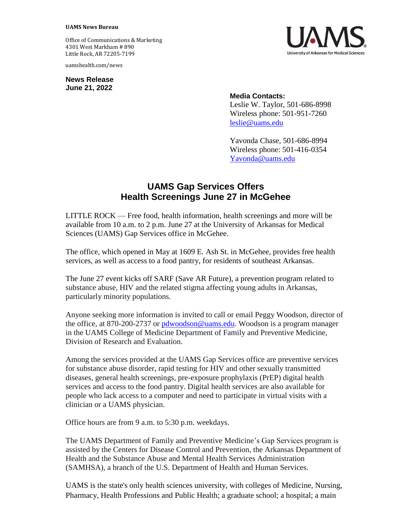## **UAMS News Bureau**

Office of Communications & Marketing 4301 West Markham # 890 Little Rock, AR 72205-7199

uamshealth.com/news

**News Release June 21, 2022**



## **Media Contacts:**

Leslie W. Taylor, 501-686-8998 Wireless phone: 501-951-7260 [leslie@uams.edu](mailto:leslie@uams.edu)

Yavonda Chase, 501-686-8994 Wireless phone: 501-416-0354 [Yavonda@uams.edu](mailto:Yavonda@uams.edu)

## **UAMS Gap Services Offers Health Screenings June 27 in McGehee**

LITTLE ROCK — Free food, health information, health screenings and more will be available from 10 a.m. to 2 p.m. June 27 at the University of Arkansas for Medical Sciences (UAMS) Gap Services office in McGehee.

The office, which opened in May at 1609 E. Ash St. in McGehee, provides free health services, as well as access to a food pantry, for residents of southeast Arkansas.

The June 27 event kicks off SARF (Save AR Future), a prevention program related to substance abuse, HIV and the related stigma affecting young adults in Arkansas, particularly minority populations.

Anyone seeking more information is invited to call or email Peggy Woodson, director of the office, at 870-200-2737 or [pdwoodson@uams.edu.](mailto:pdwoodson@uams.edu) Woodson is a program manager in the UAMS College of Medicine Department of Family and Preventive Medicine, Division of Research and Evaluation.

Among the services provided at the UAMS Gap Services office are preventive services for substance abuse disorder, rapid testing for HIV and other sexually transmitted diseases, general health screenings, pre-exposure prophylaxis (PrEP) digital health services and access to the food pantry. Digital health services are also available for people who lack access to a computer and need to participate in virtual visits with a clinician or a UAMS physician.

Office hours are from 9 a.m. to 5:30 p.m. weekdays.

The UAMS Department of Family and Preventive Medicine's Gap Services program is assisted by the Centers for Disease Control and Prevention, the Arkansas Department of Health and the Substance Abuse and Mental Health Services Administration (SAMHSA), a branch of the U.S. Department of Health and Human Services.

UAMS is the state's only health sciences university, with colleges of Medicine, Nursing, Pharmacy, Health Professions and Public Health; a graduate school; a hospital; a main